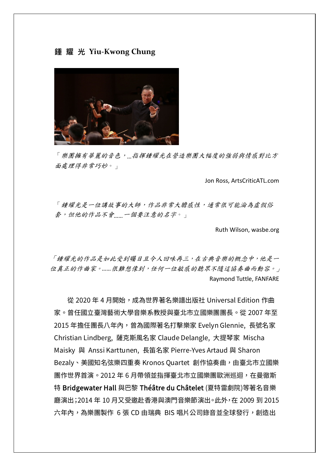## **鍾 耀 光 Yiu-Kwong Chung**



「樂團擁有華麗的音色,*…*指揮鍾耀光在營造樂團大幅度的強弱與情感對比方 面處理得非常巧妙。」

Jon Ross, ArtsCriticATL.com

「鍾耀光是一位講故事的大師,作品非常大膽感性,通常很可能淪為虛假俗 套,但他的作品不會*……*一個要注意的名字。」

Ruth Wilson, wasbe.org

「鍾耀光的作品是如此受到矚目且令人回味再三,在古典音樂的概念中,他是一 位真正的作曲家。*……*很難想像到,任何一位敏感的聽眾不隨這協奏曲而動容。」 Raymond Tuttle, FANFARE

 從 2020 年 4 月開始,成為世界著名樂譜出版社 Universal Edition 作曲 家。曾任國立臺灣藝術大學音樂系教授與臺北市立國樂團團長。從 2007 年至 2015 年擔任團長八年內,曾為國際著名打擊樂家 Evelyn Glennie, 長號名家 Christian Lindberg, 薩克斯風名家 Claude Delangle, 大提琴家 Mischa Maisky 與 Anssi Karttunen, 長笛名家 Pierre-Yves Artaud 與 Sharon Bezaly、美國知名弦樂四重奏 Kronos Ouartet 創作協奏曲,由臺北市立國樂 團作世界首演。2012 年 6 月帶領並指揮臺北市立國樂團歐洲巡迴,在曼徹斯 特 Bridgewater Hall 與巴黎 Théâtre du Châtelet (夏特雷劇院)等著名音樂 廳演出;2014 年 10 月又受邀赴香港與澳門音樂節演出。此外,在 2009 到 2015 六年內,為樂團製作 6 張 CD 由瑞典 BIS 唱片公司錄音並全球發行,創造出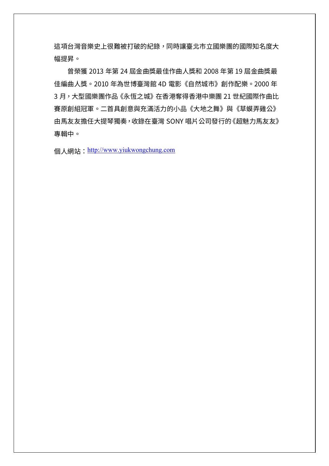這項台灣音樂史上很難被打破的紀錄,同時讓臺北市立國樂團的國際知名度大 幅提昇。

 曾榮獲 2013 年第 24 屆金曲獎最佳作曲人獎和 2008 年第 19 屆金曲獎最 佳編曲人獎。2010 年為世博臺灣館 4D 電影《自然城市》創作配樂。2000 年 3月,大型國樂團作品《永恆之城》在香港奪得香港中樂團 21 世紀國際作曲比 賽原創組冠軍。二首具創意與充滿活力的小品《大地之舞》與《草蟆弄雞公》 由馬友友擔任大提琴獨奏,收錄在臺灣 SONY 唱片公司發行的《超魅力馬友友》 專輯中。

個人網站: [http://www.yiukwongchung.com](http://www.yiukwongchung.com/)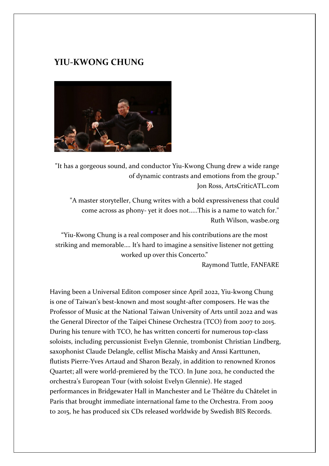## **YIU-KWONG CHUNG**



"It has a gorgeous sound, and conductor Yiu-Kwong Chung drew a wide range of dynamic contrasts and emotions from the group." Jon Ross, ArtsCriticATL.com

"A master storyteller, Chung writes with a bold expressiveness that could come across as phony- yet it does not.....This is a name to watch for." Ruth Wilson, wasbe.org

"Yiu-Kwong Chung is a real composer and his contributions are the most striking and memorable…. It's hard to imagine a sensitive listener not getting worked up over this Concerto."

Raymond Tuttle, FANFARE

Having been a Universal Editon composer since April 2022, Yiu-kwong Chung is one of Taiwan's best-known and most sought-after composers. He was the Professor of Music at the National Taiwan University of Arts until 2022 and was the General Director of the Taipei Chinese Orchestra (TCO) from 2007 to 2015. During his tenure with TCO, he has written concerti for numerous top-class soloists, including percussionist Evelyn Glennie, trombonist Christian Lindberg, saxophonist Claude Delangle, cellist Mischa Maisky and Anssi Karttunen, flutists Pierre-Yves Artaud and Sharon Bezaly, in addition to renowned Kronos Quartet; all were world-premiered by the TCO. In June 2012, he conducted the orchestra's European Tour (with soloist Evelyn Glennie). He staged performances in Bridgewater Hall in Manchester and Le Théâtre du Châtelet in Paris that brought immediate international fame to the Orchestra. From 2009 to 2015, he has produced six CDs released worldwide by Swedish BIS Records.